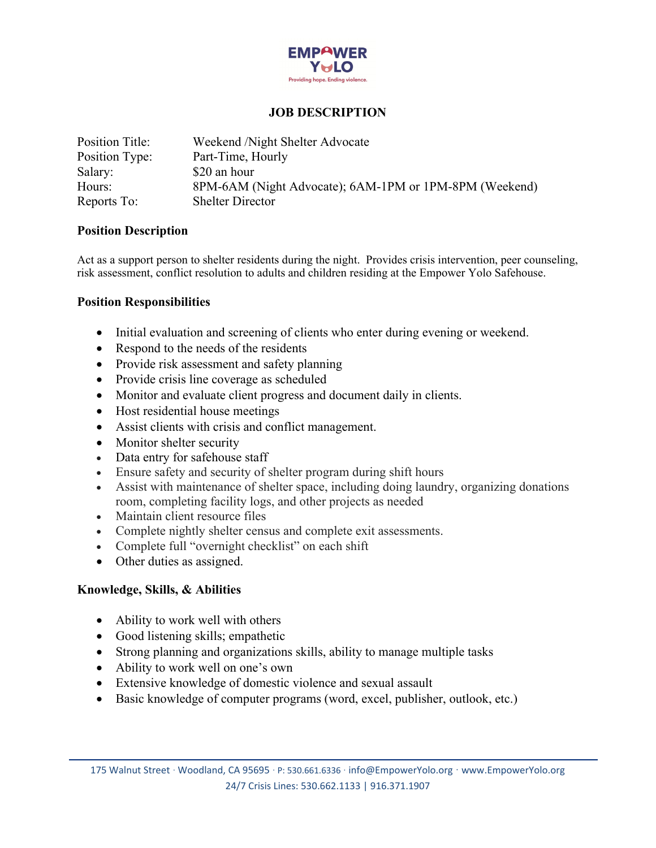

# **JOB DESCRIPTION**

| <b>Position Title:</b> | Weekend /Night Shelter Advocate                        |
|------------------------|--------------------------------------------------------|
| Position Type:         | Part-Time, Hourly                                      |
| Salary:                | \$20 an hour                                           |
| Hours:                 | 8PM-6AM (Night Advocate); 6AM-1PM or 1PM-8PM (Weekend) |
| Reports To:            | <b>Shelter Director</b>                                |

## **Position Description**

Act as a support person to shelter residents during the night. Provides crisis intervention, peer counseling, risk assessment, conflict resolution to adults and children residing at the Empower Yolo Safehouse.

## **Position Responsibilities**

- Initial evaluation and screening of clients who enter during evening or weekend.
- Respond to the needs of the residents
- Provide risk assessment and safety planning
- Provide crisis line coverage as scheduled
- Monitor and evaluate client progress and document daily in clients.
- Host residential house meetings
- Assist clients with crisis and conflict management.
- Monitor shelter security
- Data entry for safehouse staff
- Ensure safety and security of shelter program during shift hours
- Assist with maintenance of shelter space, including doing laundry, organizing donations room, completing facility logs, and other projects as needed
- Maintain client resource files
- Complete nightly shelter census and complete exit assessments.
- Complete full "overnight checklist" on each shift
- Other duties as assigned.

# **Knowledge, Skills, & Abilities**

- Ability to work well with others
- Good listening skills; empathetic
- Strong planning and organizations skills, ability to manage multiple tasks
- Ability to work well on one's own
- Extensive knowledge of domestic violence and sexual assault
- Basic knowledge of computer programs (word, excel, publisher, outlook, etc.)